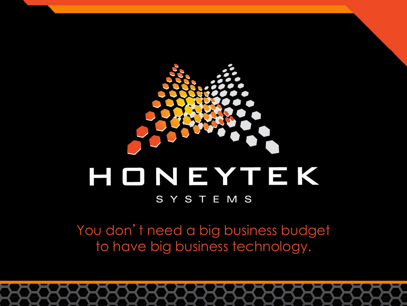

# HONEYTEK

### SYSTEMS

You don't need a big business budget to have big business technology.

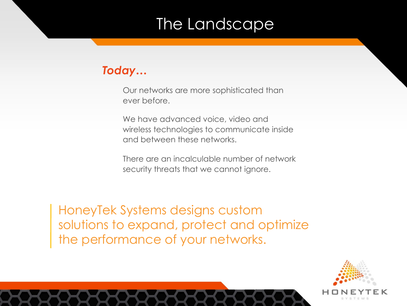# The Landscape

### *Today…*

Our networks are more sophisticated than ever before.

We have advanced voice, video and wireless technologies to communicate inside and between these networks.

There are an incalculable number of network security threats that we cannot ignore.

HoneyTek Systems designs custom solutions to expand, protect and optimize the performance of your networks.

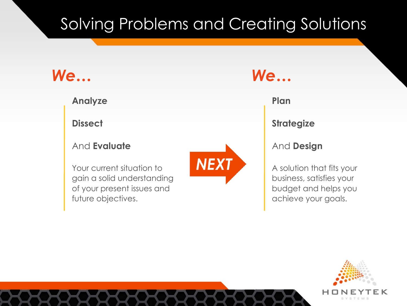# Solving Problems and Creating Solutions

### *We…*

**Analyze**

**Dissect**

### And **Evaluate**

Your current situation to gain a solid understanding of your present issues and future objectives.



### *We…*

### **Plan**

**Strategize**

### And **Design**

A solution that fits your business, satisfies your budget and helps you achieve your goals.

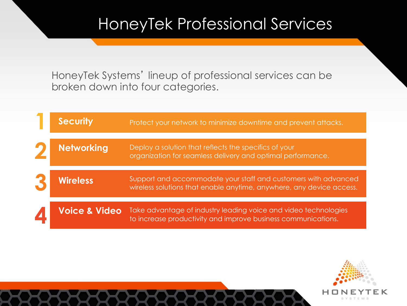## HoneyTek Professional Services

HoneyTek Systems' lineup of professional services can be broken down into four categories.

| <b>Security</b>          | Protect your network to minimize downtime and prevent attacks.                                                                         |
|--------------------------|----------------------------------------------------------------------------------------------------------------------------------------|
| <b>Networking</b>        | Deploy a solution that reflects the specifics of your<br>organization for seamless delivery and optimal performance.                   |
| <b>Wireless</b>          | Support and accommodate your staff and customers with advanced<br>wireless solutions that enable anytime, anywhere, any device access. |
| <b>Voice &amp; Video</b> | Take advantage of industry leading voice and video technologies<br>to increase productivity and improve business communications.       |

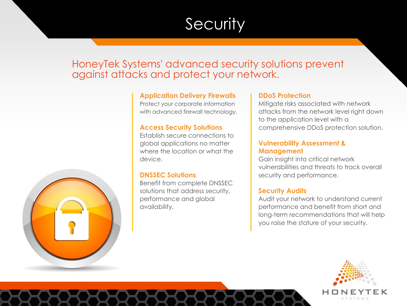# **Security**

### HoneyTek Systems' advanced security solutions prevent against attacks and protect your network.



Protect your corporate information with advanced firewall technology.

#### **Access Security Solutions**

Establish secure connections to global applications no matter where the location or what the device.

#### **DNSSEC Solutions**

Benefit from complete DNSSEC solutions that address security, performance and global availability.

#### **DDoS Protection**

Mitigate risks associated with network attacks from the network level right down to the application level with a comprehensive DDoS protection solution.

#### **Vulnerability Assessment & Management**

Gain insight into critical network vulnerabilities and threats to track overall security and performance.

#### **Security Audits**

Audit your network to understand current performance and benefit from short and long-term recommendations that will help you raise the stature of your security.



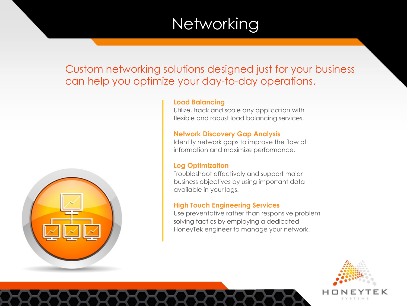# **Networking**

Custom networking solutions designed just for your business can help you optimize your day-to-day operations.



### **Load Balancing**

Utilize, track and scale any application with flexible and robust load balancing services.

### **Network Discovery Gap Analysis**

Identify network gaps to improve the flow of information and maximize performance.

### **Log Optimization**

Troubleshoot effectively and support major business objectives by using important data available in your logs.

#### **High Touch Engineering Services**

Use preventative rather than responsive problem solving tactics by employing a dedicated HoneyTek engineer to manage your network.

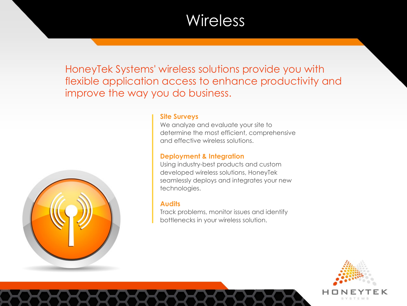### **Wireless**

HoneyTek Systems' wireless solutions provide you with flexible application access to enhance productivity and improve the way you do business.



#### **Site Surveys**

We analyze and evaluate your site to determine the most efficient, comprehensive and effective wireless solutions.

#### **Deployment & Integration**

Using industry-best products and custom developed wireless solutions, HoneyTek seamlessly deploys and integrates your new technologies.

#### **Audits**

Track problems, monitor issues and identify bottlenecks in your wireless solution.

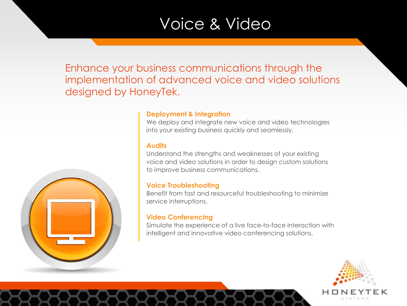### Voice & Video

Enhance your business communications through the implementation of advanced voice and video solutions designed by HoneyTek.



#### **Deployment & Integration**

We deploy and integrate new voice and video technologies into your existing business quickly and seamlessly.

#### **Audits**

Understand the strengths and weaknesses of your existing voice and video solutions in order to design custom solutions to improve business communications.

#### **Voice Troubleshooting**

Benefit from fast and resourceful troubleshooting to minimize service interruptions.

#### **Video Conferencing**

Simulate the experience of a live face-to-face interaction with intelligent and innovative video conferencing solutions.

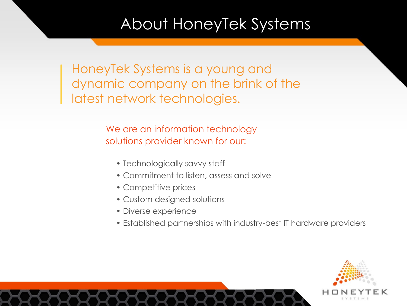# About HoneyTek Systems

HoneyTek Systems is a young and dynamic company on the brink of the latest network technologies.

> We are an information technology solutions provider known for our:

- Technologically savvy staff
- Commitment to listen, assess and solve
- Competitive prices
- Custom designed solutions
- Diverse experience
- Established partnerships with industry-best IT hardware providers

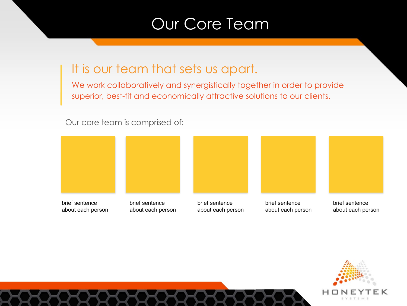### Our Core Team

### It is our team that sets us apart.

We work collaboratively and synergistically together in order to provide superior, best-fit and economically attractive solutions to our clients.

Our core team is comprised of:



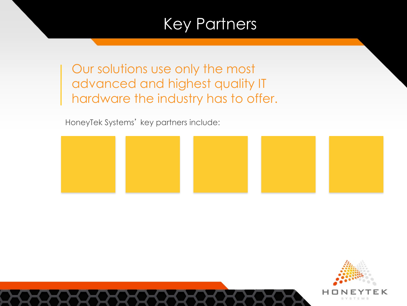# Key Partners

Our solutions use only the most advanced and highest quality IT hardware the industry has to offer.

HoneyTek Systems' key partners include:



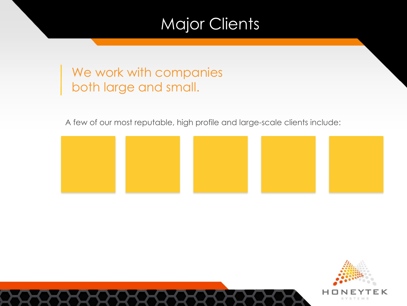# Major Clients

### We work with companies both large and small.

A few of our most reputable, high profile and large-scale clients include:



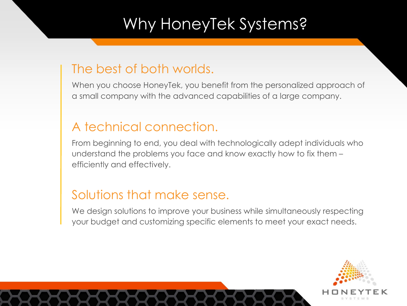# Why HoneyTek Systems?

### The best of both worlds.

When you choose HoneyTek, you benefit from the personalized approach of a small company with the advanced capabilities of a large company.

### A technical connection.

From beginning to end, you deal with technologically adept individuals who understand the problems you face and know exactly how to fix them – efficiently and effectively.

### Solutions that make sense.

We design solutions to improve your business while simultaneously respecting your budget and customizing specific elements to meet your exact needs.